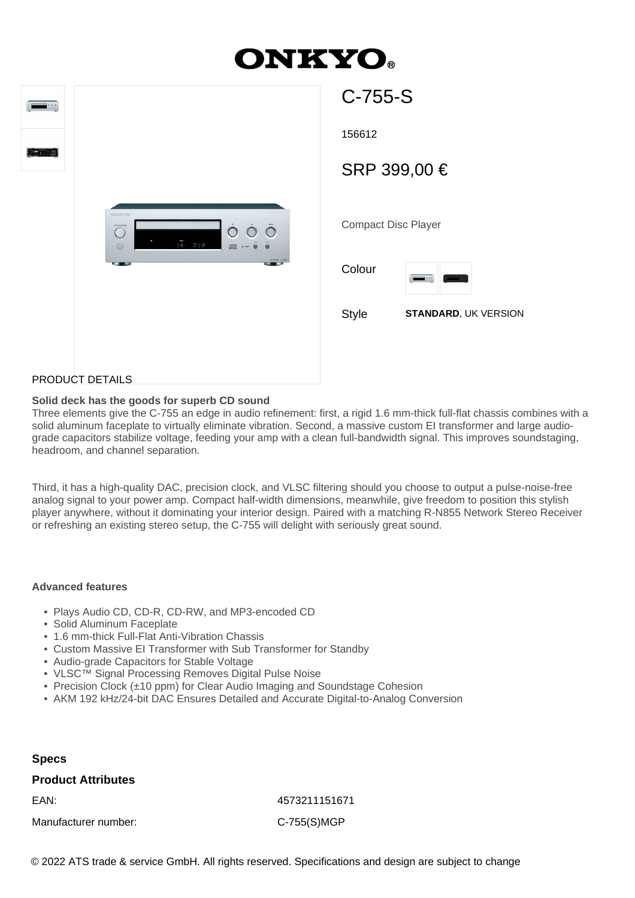# **ONKYO.**

| 0.00           |                                                                                                             | C-755-S                |
|----------------|-------------------------------------------------------------------------------------------------------------|------------------------|
| $0 - 3$ , $11$ |                                                                                                             | 156612                 |
|                |                                                                                                             | <b>SRP 399</b>         |
|                | OREKNO<br>$\dot{\Omega}$<br><b>OGNEWORK</b><br>$\ddot{\circ}$<br>$\bigcirc$<br>16.348<br>$\bigcirc$<br>Vise | Compact Disc I         |
|                | CEAMIN C-750                                                                                                | Colour<br>$\sqrt{100}$ |
|                |                                                                                                             | <b>Style</b><br>S      |
|                |                                                                                                             |                        |

| 156612                     |                             |  |  |
|----------------------------|-----------------------------|--|--|
| SRP 399,00 €               |                             |  |  |
|                            |                             |  |  |
| <b>Compact Disc Player</b> |                             |  |  |
| Colour                     | 0.00                        |  |  |
| <b>Style</b>               | <b>STANDARD, UK VERSION</b> |  |  |
|                            |                             |  |  |
|                            |                             |  |  |

# PRODUCT DETAILS

## **Solid deck has the goods for superb CD sound**

Three elements give the C-755 an edge in audio refinement: first, a rigid 1.6 mm-thick full-flat chassis combines with a solid aluminum faceplate to virtually eliminate vibration. Second, a massive custom EI transformer and large audiograde capacitors stabilize voltage, feeding your amp with a clean full-bandwidth signal. This improves soundstaging, headroom, and channel separation.

Third, it has a high-quality DAC, precision clock, and VLSC filtering should you choose to output a pulse-noise-free analog signal to your power amp. Compact half-width dimensions, meanwhile, give freedom to position this stylish player anywhere, without it dominating your interior design. Paired with a matching R-N855 Network Stereo Receiver or refreshing an existing stereo setup, the C-755 will delight with seriously great sound.

#### **Advanced features**

- Plays Audio CD, CD-R, CD-RW, and MP3-encoded CD
- Solid Aluminum Faceplate
- 1.6 mm-thick Full-Flat Anti-Vibration Chassis
- Custom Massive EI Transformer with Sub Transformer for Standby
- Audio-grade Capacitors for Stable Voltage
- VLSC™ Signal Processing Removes Digital Pulse Noise
- Precision Clock (±10 ppm) for Clear Audio Imaging and Soundstage Cohesion
- AKM 192 kHz/24-bit DAC Ensures Detailed and Accurate Digital-to-Analog Conversion

#### **Specs**

### **Product Attributes**

Manufacturer number: C-755(S)MGP

EAN: 4573211151671